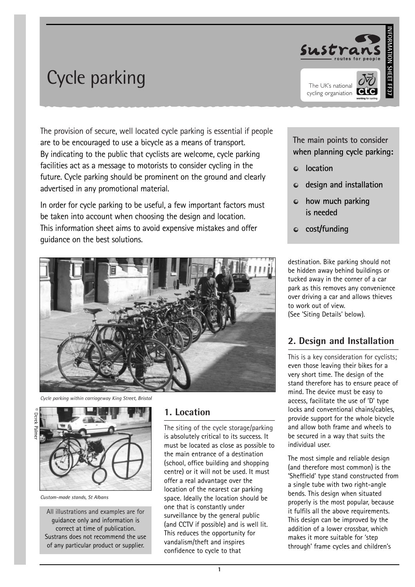



The provision of secure, well located cycle parking is essential if people are to be encouraged to use a bicycle as a means of transport. By indicating to the public that cyclists are welcome, cycle parking facilities act as a message to motorists to consider cycling in the future. Cycle parking should be prominent on the ground and clearly advertised in any promotional material.

In order for cycle parking to be useful, a few important factors must be taken into account when choosing the design and location. This information sheet aims to avoid expensive mistakes and offer guidance on the best solutions.



*Cycle parking within carriageway King Street, Bristol*



*Custom-made stands, St Albans*

All illustrations and examples are for guidance only and information is correct at time of publication. Sustrans does not recommend the use of any particular product or supplier.

#### **1. Location**

The siting of the cycle storage/parking is absolutely critical to its success. It must be located as close as possible to the main entrance of a destination (school, office building and shopping centre) or it will not be used. It must offer a real advantage over the location of the nearest car parking space. Ideally the location should be one that is constantly under surveillance by the general public (and CCTV if possible) and is well lit. This reduces the opportunity for vandalism/theft and inspires confidence to cycle to that

**The main points to consider when planning cycle parking:**

- **location**
- **design and installation**
- **how much parking is needed**
- **cost/funding**

destination. Bike parking should not be hidden away behind buildings or tucked away in the corner of a car park as this removes any convenience over driving a car and allows thieves to work out of view. (See 'Siting Details' below).

#### **2. Design and Installation**

This is a key consideration for cyclists; even those leaving their bikes for a very short time. The design of the stand therefore has to ensure peace of mind. The device must be easy to access, facilitate the use of 'D' type locks and conventional chains/cables, provide support for the whole bicycle and allow both frame and wheels to be secured in a way that suits the individual user.

The most simple and reliable design (and therefore most common) is the 'Sheffield' type stand constructed from a single tube with two right-angle bends. This design when situated properly is the most popular, because it fulfils all the above requirements. This design can be improved by the addition of a lower crossbar, which makes it more suitable for 'step through' frame cycles and children's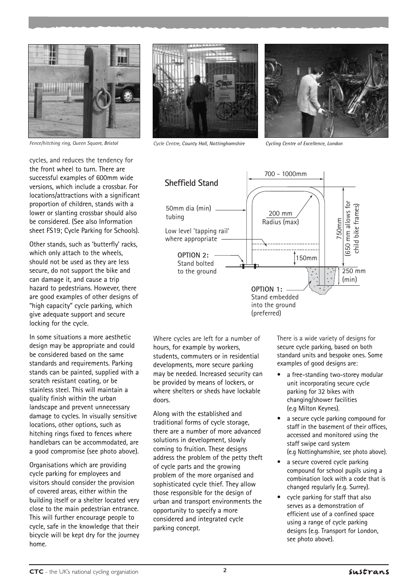

*Fence/hitching ring, Queen Square, Bristol*

cycles, and reduces the tendency for the front wheel to turn. There are successful examples of 600mm wide versions, which include a crossbar. For locations/attractions with a significant proportion of children, stands with a lower or slanting crossbar should also be considered. (See also Information sheet FS19; Cycle Parking for Schools).

Other stands, such as 'butterfly' racks, which only attach to the wheels, should not be used as they are less secure, do not support the bike and can damage it, and cause a trip hazard to pedestrians. However, there are good examples of other designs of "high capacity" cycle parking, which give adequate support and secure locking for the cycle.

In some situations a more aesthetic design may be appropriate and could be considered based on the same standards and requirements. Parking stands can be painted, supplied with a scratch resistant coating, or be stainless steel. This will maintain a quality finish within the urban landscape and prevent unnecessary damage to cycles. In visually sensitive locations, other options, such as hitching rings fixed to fences where handlebars can be accommodated, are a good compromise (see photo above).

Organisations which are providing cycle parking for employees and visitors should consider the provision of covered areas, either within the building itself or a shelter located very close to the main pedestrian entrance. This will further encourage people to cycle, safe in the knowledge that their bicycle will be kept dry for the journey home.



*Cycle Centre, County Hall, Nottinghamshire Cycling Centre of Excellence, London* 





Where cycles are left for a number of hours, for example by workers, students, commuters or in residential developments, more secure parking may be needed. Increased security can be provided by means of lockers, or where shelters or sheds have lockable doors.

Along with the established and traditional forms of cycle storage, there are a number of more advanced solutions in development, slowly coming to fruition. These designs address the problem of the petty theft of cycle parts and the growing problem of the more organised and sophisticated cycle thief. They allow those responsible for the design of urban and transport environments the opportunity to specify a more considered and integrated cycle parking concept.

There is a wide variety of designs for secure cycle parking, based on both standard units and bespoke ones. Some examples of good designs are:

- a free-standing two-storey modular unit incorporating secure cycle parking for 32 bikes with changing/shower facilities (e.g Milton Keynes).
- a secure cycle parking compound for staff in the basement of their offices, accessed and monitored using the staff swipe card system (e.g Nottinghamshire, see photo above).
- a secure covered cycle parking compound for school pupils using a combination lock with a code that is changed regularly (e.g. Surrey).
- cycle parking for staff that also serves as a demonstration of efficient use of a confined space using a range of cycle parking designs (e.g. Transport for London, see photo above).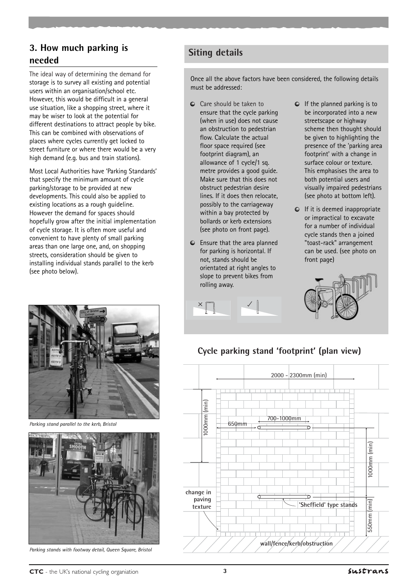## **Siting details 3. How much parking is needed**

The ideal way of determining the demand for storage is to survey all existing and potential users within an organisation/school etc. However, this would be difficult in a general use situation, like a shopping street, where it may be wiser to look at the potential for different destinations to attract people by bike. This can be combined with observations of places where cycles currently get locked to street furniture or where there would be a very high demand (e.g. bus and train stations).

Most Local Authorities have 'Parking Standards' that specify the minimum amount of cycle parking/storage to be provided at new developments. This could also be applied to existing locations as a rough guideline. However the demand for spaces should hopefully grow after the initial implementation of cycle storage. It is often more useful and convenient to have plenty of small parking areas than one large one, and, on shopping streets, consideration should be given to installing individual stands parallel to the kerb (see photo below).



*Parking stand parallel to the kerb, Bristol*



*Parking stands with footway detail, Queen Square, Bristol*

Once all the above factors have been considered, the following details must be addressed:

- Care should be taken to ensure that the cycle parking (when in use) does not cause an obstruction to pedestrian flow. Calculate the actual floor space required (see footprint diagram), an allowance of 1 cycle/1 sq. metre provides a good guide. Make sure that this does not obstruct pedestrian desire lines. If it does then relocate, possibly to the carriageway within a bay protected by bollards or kerb extensions (see photo on front page).
- Ensure that the area planned for parking is horizontal. If not, stands should be orientated at right angles to slope to prevent bikes from rolling away.
- $\bullet$  If the planned parking is to be incorporated into a new streetscape or highway scheme then thought should be given to highlighting the presence of the 'parking area footprint' with a change in surface colour or texture. This emphasises the area to both potential users and visually impaired pedestrians (see photo at bottom left).
- $\bullet$  If it is deemed inappropriate or impractical to excavate for a number of individual cycle stands then a joined "toast-rack" arrangement can be used. (see photo on front page)



# **Cycle parking stand 'footprint' (plan view)**